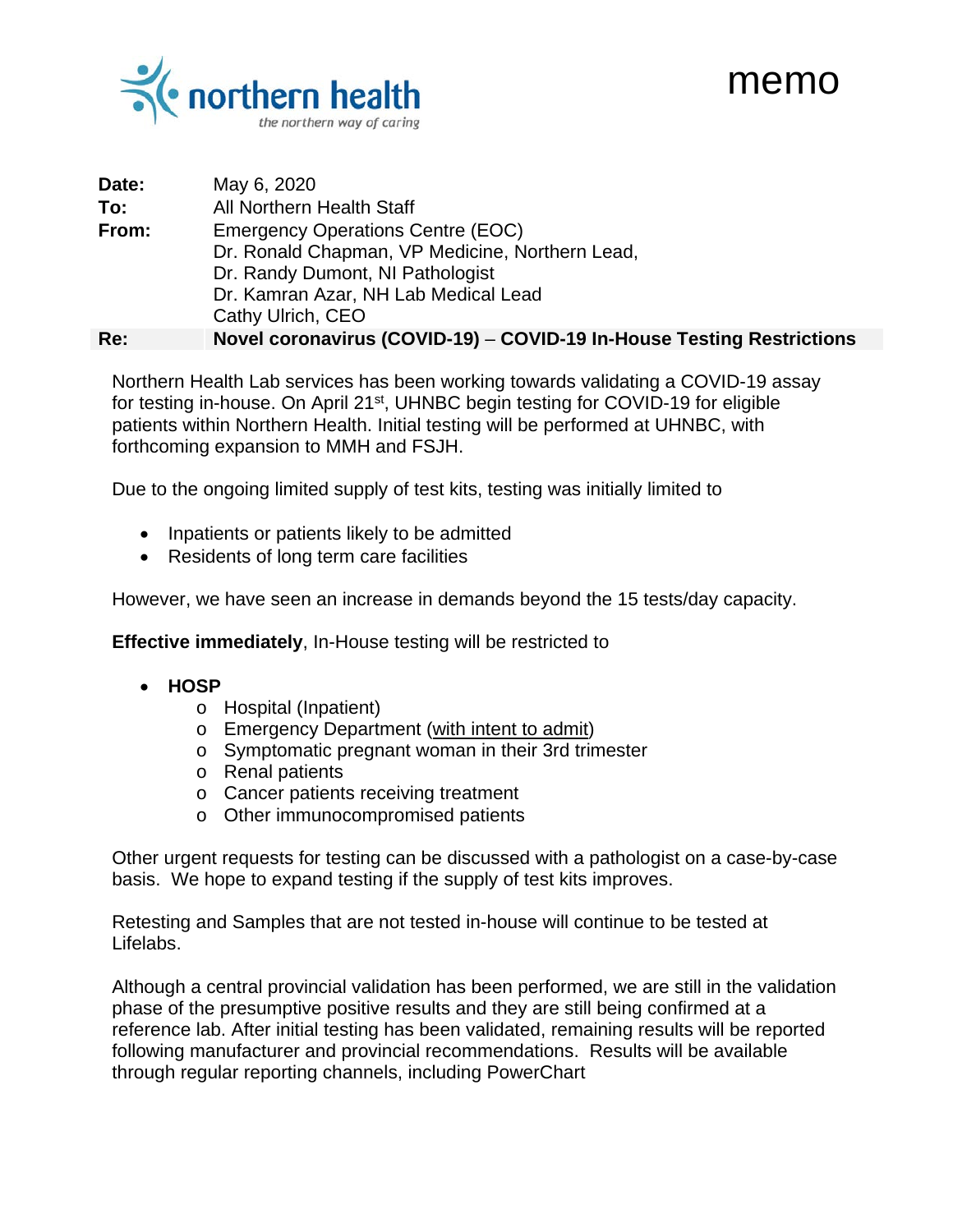



| Date:               | May 6, 2020                                                           |
|---------------------|-----------------------------------------------------------------------|
| ∃To:                | All Northern Health Staff                                             |
| $\frac{1}{2}$ From: | <b>Emergency Operations Centre (EOC)</b>                              |
|                     | Dr. Ronald Chapman, VP Medicine, Northern Lead,                       |
|                     | Dr. Randy Dumont, NI Pathologist                                      |
|                     | Dr. Kamran Azar, NH Lab Medical Lead                                  |
|                     | Cathy Ulrich, CEO                                                     |
|                     | Novel coronavirus (COVID-19) – COVID-19 In-House Testing Restrictions |

Northern Health Lab services has been working towards validating a COVID-19 assay for testing in-house. On April 21st, UHNBC begin testing for COVID-19 for eligible patients within Northern Health. Initial testing will be performed at UHNBC, with forthcoming expansion to MMH and FSJH.

Due to the ongoing limited supply of test kits, testing was initially limited to

- Inpatients or patients likely to be admitted
- Residents of long term care facilities

However, we have seen an increase in demands beyond the 15 tests/day capacity.

**Effective immediately**, In-House testing will be restricted to

- **HOSP**
	- o Hospital (Inpatient)
	- o Emergency Department (with intent to admit)
	- o Symptomatic pregnant woman in their 3rd trimester
	- o Renal patients
	- o Cancer patients receiving treatment
	- o Other immunocompromised patients

Other urgent requests for testing can be discussed with a pathologist on a case-by-case basis. We hope to expand testing if the supply of test kits improves.

Retesting and Samples that are not tested in-house will continue to be tested at Lifelabs.

Although a central provincial validation has been performed, we are still in the validation phase of the presumptive positive results and they are still being confirmed at a reference lab. After initial testing has been validated, remaining results will be reported following manufacturer and provincial recommendations. Results will be available through regular reporting channels, including PowerChart